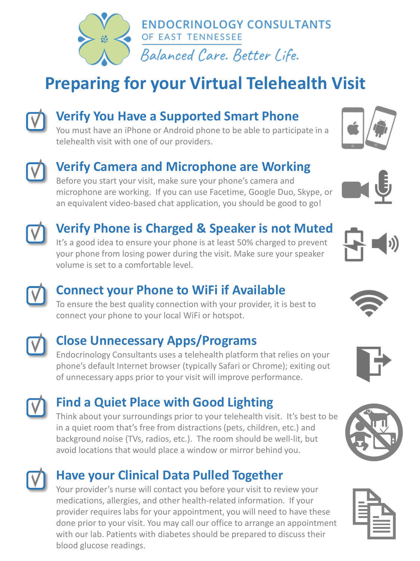

## **Preparing for your Virtual Telehealth Visit**



#### **Verify You Have a Supported Smart Phone**

You must have an iPhone or Android phone to be able to participate in a telehealth visit with one of our providers.



#### **Verify Camera and Microphone are Working**

Before you start your visit, make sure your phone's camera and microphone are working. If you can use Facetime, Google Duo, Skype, or an equivalent video-based chat application, you should be good to go!



#### **Verify Phone is Charged & Speaker is not Muted**

It's a good idea to ensure your phone is at least 50% charged to prevent your phone from losing power during the visit. Make sure your speaker volume is set to a comfortable level.



To ensure the best quality connection with your provider, it is best to connect your phone to your local WiFi or hotspot.



#### **Close Unnecessary Apps/Programs**

Endocrinology Consultants uses a telehealth platform that relies on your phone's default Internet browser (typically Safari or Chrome); exiting out of unnecessary apps prior to your visit will improve performance.

### **Find a Quiet Place with Good Lighting**

Think about your surroundings prior to your telehealth visit. It's best to be in a quiet room that's free from distractions (pets, children, etc.) and background noise (TVs, radios, etc.). The room should be well-lit, but avoid locations that would place a window or mirror behind you.



#### **Have your Clinical Data Pulled Together**

Your provider's nurse will contact you before your visit to review your medications, allergies, and other health-related information. If your provider requires labs for your appointment, you will need to have these done prior to your visit. You may call our office to arrange an appointment with our lab. Patients with diabetes should be prepared to discuss their blood glucose readings.